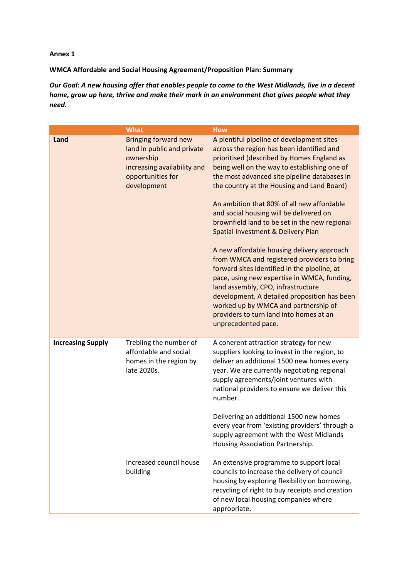## **Annex 1**

**WMCA Affordable and Social Housing Agreement/Proposition Plan: Summary**

Our Goal: A new housing offer that enables people to come to the West Midlands, live in a decent *home, grow up here, thrive and make their mark in an environment that gives people what they need.*

|                          | <b>What</b>                                                                                                                               | <b>How</b>                                                                                                                                                                                                                                                                                                                                                                                                                                                                                                                                                                                                                                                                                                                                                                                                                                                     |
|--------------------------|-------------------------------------------------------------------------------------------------------------------------------------------|----------------------------------------------------------------------------------------------------------------------------------------------------------------------------------------------------------------------------------------------------------------------------------------------------------------------------------------------------------------------------------------------------------------------------------------------------------------------------------------------------------------------------------------------------------------------------------------------------------------------------------------------------------------------------------------------------------------------------------------------------------------------------------------------------------------------------------------------------------------|
| Land                     | <b>Bringing forward new</b><br>land in public and private<br>ownership<br>increasing availability and<br>opportunities for<br>development | A plentiful pipeline of development sites<br>across the region has been identified and<br>prioritised (described by Homes England as<br>being well on the way to establishing one of<br>the most advanced site pipeline databases in<br>the country at the Housing and Land Board)<br>An ambition that 80% of all new affordable<br>and social housing will be delivered on<br>brownfield land to be set in the new regional<br>Spatial Investment & Delivery Plan<br>A new affordable housing delivery approach<br>from WMCA and registered providers to bring<br>forward sites identified in the pipeline, at<br>pace, using new expertise in WMCA, funding,<br>land assembly, CPO, infrastructure<br>development. A detailed proposition has been<br>worked up by WMCA and partnership of<br>providers to turn land into homes at an<br>unprecedented pace. |
| <b>Increasing Supply</b> | Trebling the number of<br>affordable and social<br>homes in the region by<br>late 2020s.                                                  | A coherent attraction strategy for new<br>suppliers looking to invest in the region, to<br>deliver an additional 1500 new homes every<br>year. We are currently negotiating regional<br>supply agreements/joint ventures with<br>national providers to ensure we deliver this<br>number.<br>Delivering an additional 1500 new homes<br>every year from 'existing providers' through a<br>supply agreement with the West Midlands<br>Housing Association Partnership.                                                                                                                                                                                                                                                                                                                                                                                           |
|                          | Increased council house<br>building                                                                                                       | An extensive programme to support local<br>councils to increase the delivery of council<br>housing by exploring flexibility on borrowing,<br>recycling of right to buy receipts and creation<br>of new local housing companies where<br>appropriate.                                                                                                                                                                                                                                                                                                                                                                                                                                                                                                                                                                                                           |